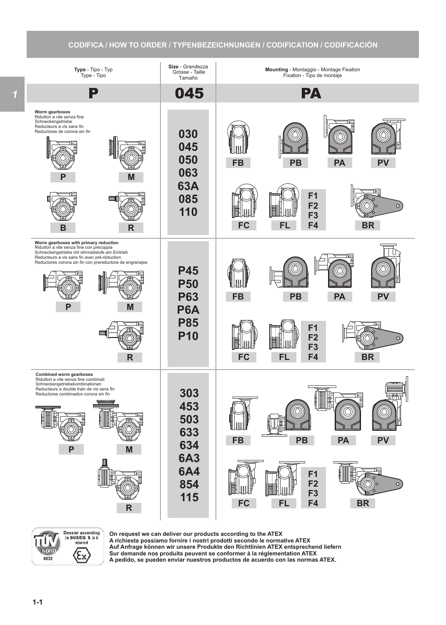## **CODIFICA / HOW TO ORDER / TYPENBEZEICHNUNGEN / CODIFICATION / CODIFICACIÓN**





**On request we can deliver our products according to the ATEX A richiesta possiamo fornire i nostri prodotti secondo le normative ATEX Auf Anfrage können wir unsere Produkte den Richtlinien ATEX entsprechend liefern Sur demande nos produits peuvent se conformer à la réglementation ATEX A pedido, se pueden enviar nuestros productos de acuerdo con las normas ATEX.**

*1*